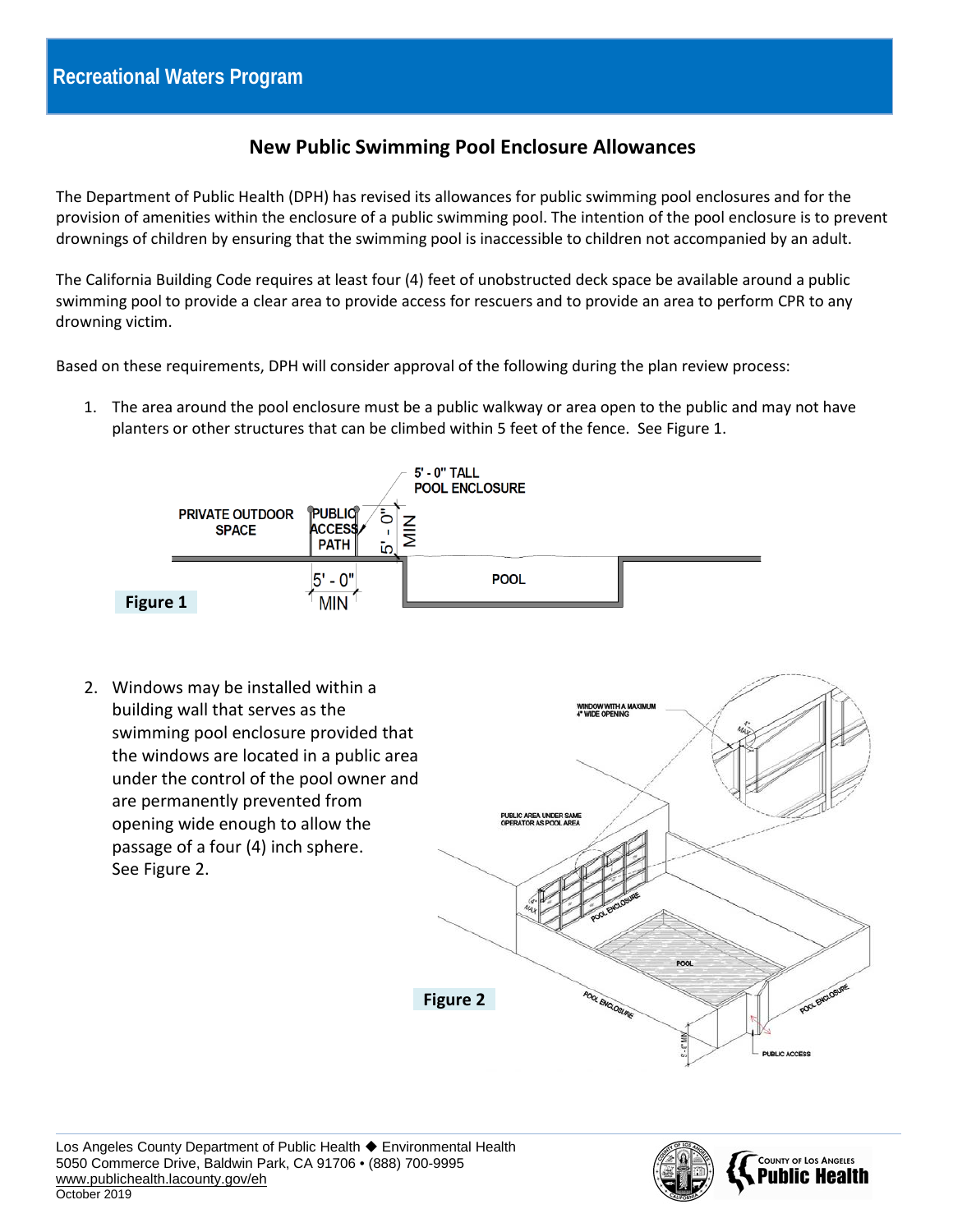## **New Public Swimming Pool Enclosure Allowances**

The Department of Public Health (DPH) has revised its allowances for public swimming pool enclosures and for the provision of amenities within the enclosure of a public swimming pool. The intention of the pool enclosure is to prevent drownings of children by ensuring that the swimming pool is inaccessible to children not accompanied by an adult.

The California Building Code requires at least four (4) feet of unobstructed deck space be available around a public swimming pool to provide a clear area to provide access for rescuers and to provide an area to perform CPR to any drowning victim.

Based on these requirements, DPH will consider approval of the following during the plan review process:

1. The area around the pool enclosure must be a public walkway or area open to the public and may not have planters or other structures that can be climbed within 5 feet of the fence. See Figure 1.



2. Windows may be installed within a building wall that serves as the swimming pool enclosure provided that the windows are located in a public area under the control of the pool owner and are permanently prevented from **PUBLIC AREA UNDER SAME**<br>OPERATOR AS POOL AREA opening wide enough to allow the passage of a four (4) inch sphere. See Figure 2. POOL **OL ENGLOSURE Figure 2**





**URLIC ACCESS**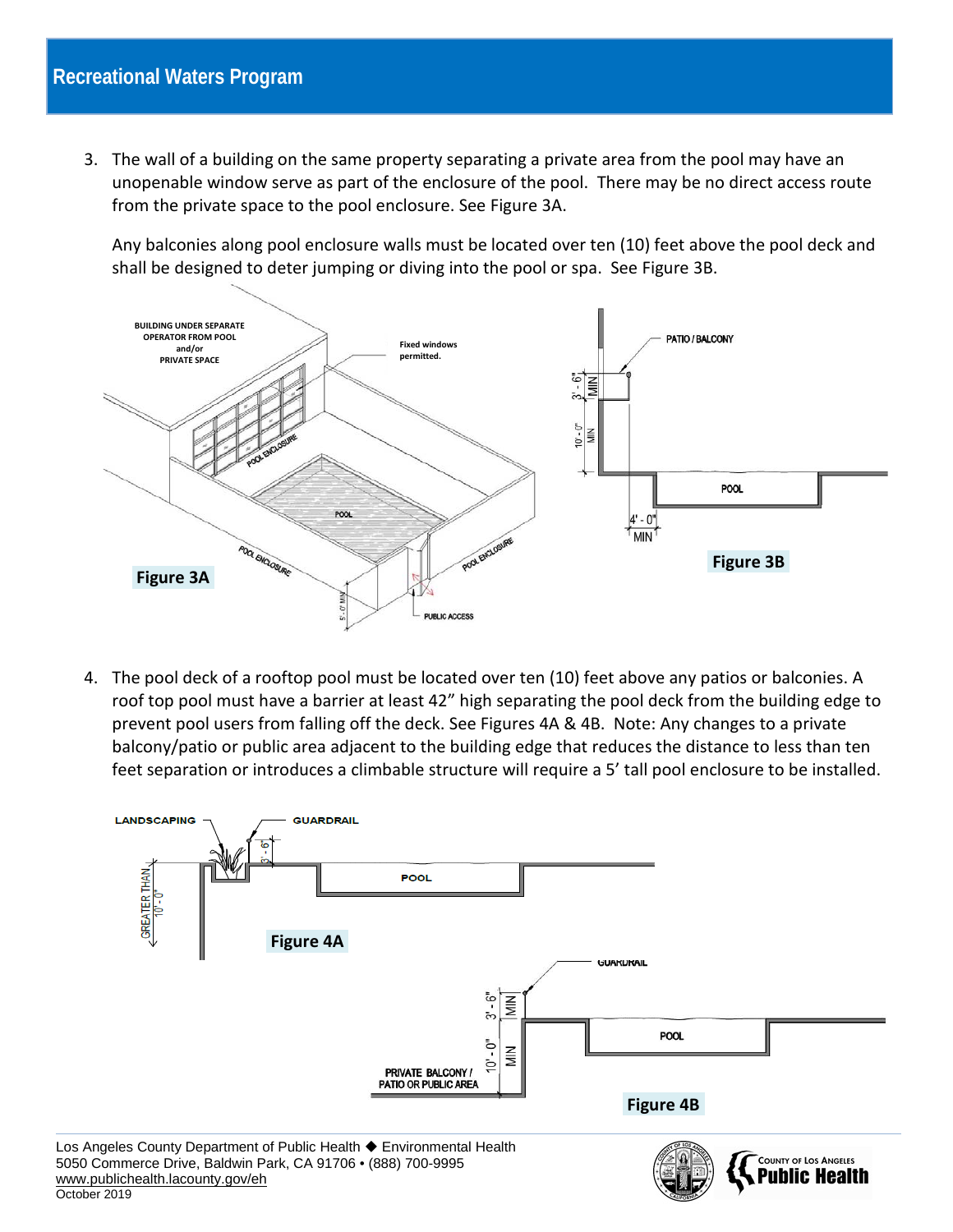3. The wall of a building on the same property separating a private area from the pool may have an unopenable window serve as part of the enclosure of the pool. There may be no direct access route from the private space to the pool enclosure. See Figure 3A.

Any balconies along pool enclosure walls must be located over ten (10) feet above the pool deck and shall be designed to deter jumping or diving into the pool or spa. See Figure 3B.



4. The pool deck of a rooftop pool must be located over ten (10) feet above any patios or balconies. A roof top pool must have a barrier at least 42" high separating the pool deck from the building edge to prevent pool users from falling off the deck. See Figures 4A & 4B. Note: Any changes to a private balcony/patio or public area adjacent to the building edge that reduces the distance to less than ten feet separation or introduces a climbable structure will require a 5' tall pool enclosure to be installed.

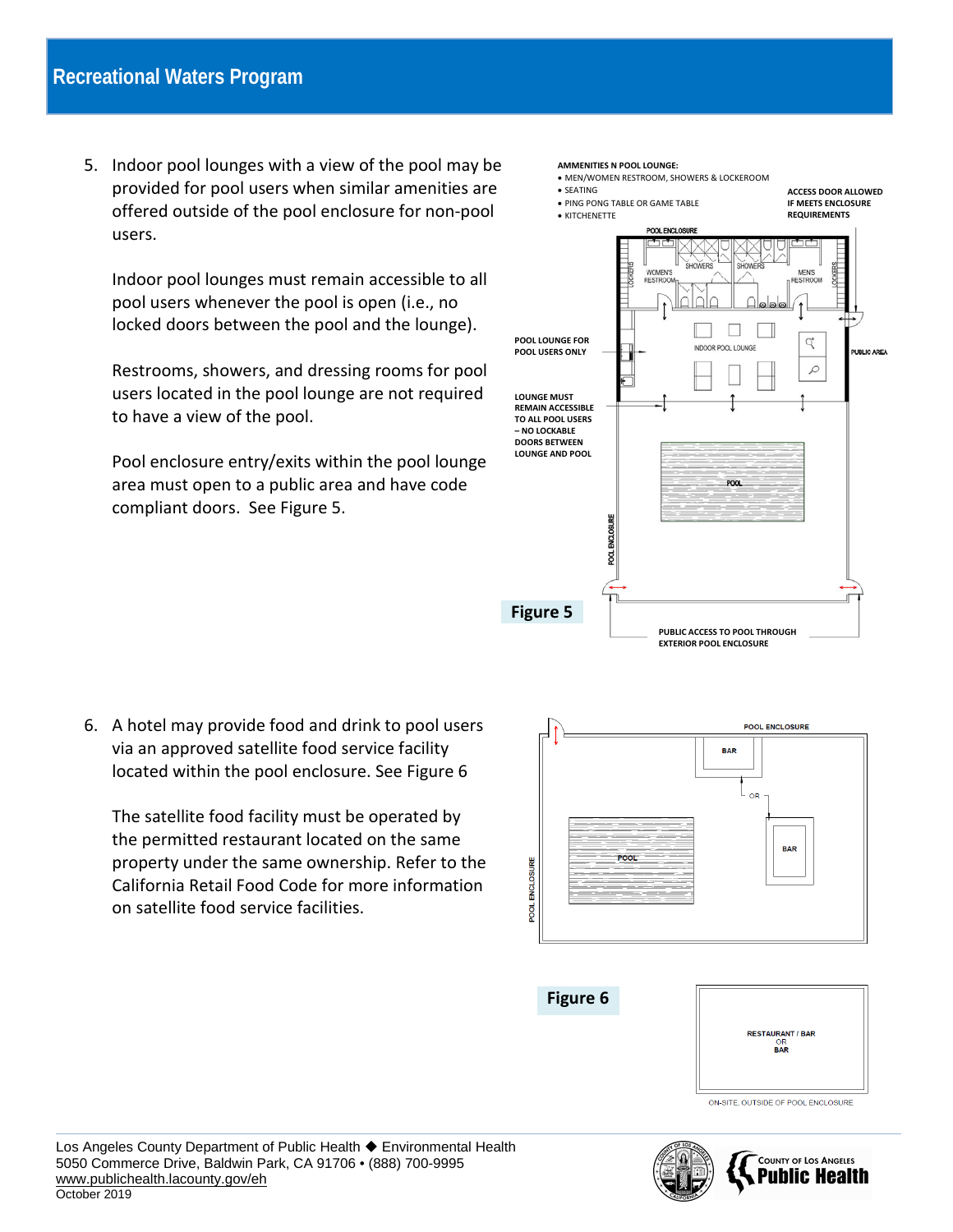5. Indoor pool lounges with a view of the pool may be provided for pool users when similar amenities are offered outside of the pool enclosure for non-pool users.

Indoor pool lounges must remain accessible to all pool users whenever the pool is open (i.e., no locked doors between the pool and the lounge).

Restrooms, showers, and dressing rooms for pool users located in the pool lounge are not required to have a view of the pool.

Pool enclosure entry/exits within the pool lounge area must open to a public area and have code compliant doors. See Figure 5.



6. A hotel may provide food and drink to pool users via an approved satellite food service facility located within the pool enclosure. See Figure 6

The satellite food facility must be operated by the permitted restaurant located on the same property under the same ownership. Refer to the California Retail Food Code for more information on satellite food service facilities.







**COUNTY OF LOS ANGELES** Puhlic Health